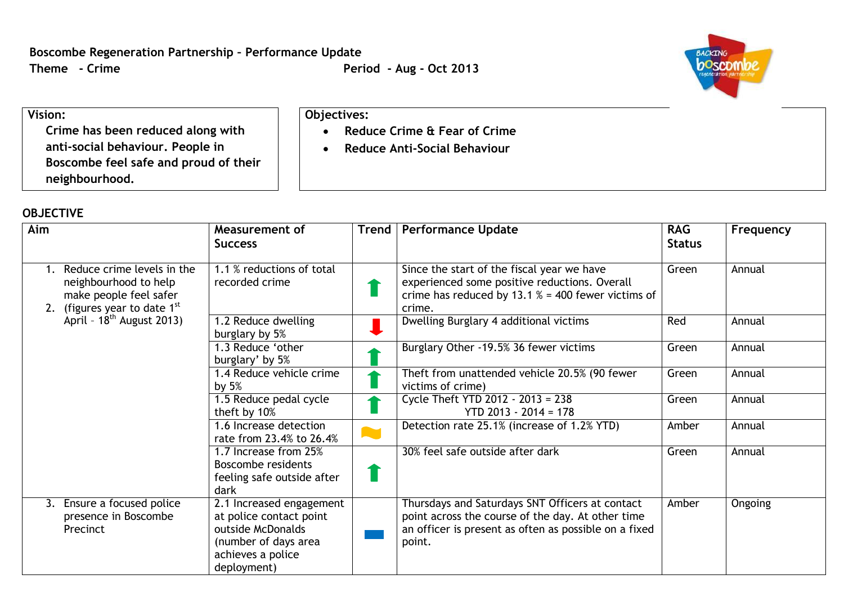**Reduce Crime & Fear of Crime Reduce Anti-Social Behaviour**

**Objectives:**



## **Vision:**

**Crime has been reduced along with anti-social behaviour. People in Boscombe feel safe and proud of their neighbourhood.**

## **OBJECTIVE**

| Aim |                                                                                                                                                   | Measurement of<br><b>Success</b>                                                                                                     | <b>Trend</b> | <b>Performance Update</b>                                                                                                                                               | <b>RAG</b><br><b>Status</b> | Frequency |
|-----|---------------------------------------------------------------------------------------------------------------------------------------------------|--------------------------------------------------------------------------------------------------------------------------------------|--------------|-------------------------------------------------------------------------------------------------------------------------------------------------------------------------|-----------------------------|-----------|
|     |                                                                                                                                                   |                                                                                                                                      |              |                                                                                                                                                                         |                             |           |
|     | Reduce crime levels in the<br>neighbourhood to help<br>make people feel safer<br>2. (figures year to date $1st$<br>April - $18^{th}$ August 2013) | 1.1 % reductions of total<br>recorded crime                                                                                          |              | Since the start of the fiscal year we have<br>experienced some positive reductions. Overall<br>crime has reduced by 13.1 $% = 400$ fewer victims of<br>crime.           | Green                       | Annual    |
|     |                                                                                                                                                   | 1.2 Reduce dwelling<br>burglary by 5%                                                                                                |              | Dwelling Burglary 4 additional victims                                                                                                                                  | Red                         | Annual    |
|     |                                                                                                                                                   | 1.3 Reduce 'other<br>burglary' by 5%                                                                                                 |              | Burglary Other -19.5% 36 fewer victims                                                                                                                                  | Green                       | Annual    |
|     |                                                                                                                                                   | 1.4 Reduce vehicle crime<br>by $5%$                                                                                                  |              | Theft from unattended vehicle 20.5% (90 fewer<br>victims of crime)                                                                                                      | Green                       | Annual    |
|     |                                                                                                                                                   | 1.5 Reduce pedal cycle<br>theft by 10%                                                                                               |              | Cycle Theft YTD 2012 - 2013 = 238<br>$YTD 2013 - 2014 = 178$                                                                                                            | Green                       | Annual    |
|     |                                                                                                                                                   | 1.6 Increase detection<br>rate from 23.4% to 26.4%                                                                                   |              | Detection rate 25.1% (increase of 1.2% YTD)                                                                                                                             | Amber                       | Annual    |
|     |                                                                                                                                                   | 1.7 Increase from 25%<br>Boscombe residents<br>feeling safe outside after<br>dark                                                    |              | 30% feel safe outside after dark                                                                                                                                        | Green                       | Annual    |
|     | 3. Ensure a focused police<br>presence in Boscombe<br>Precinct                                                                                    | 2.1 Increased engagement<br>at police contact point<br>outside McDonalds<br>(number of days area<br>achieves a police<br>deployment) |              | Thursdays and Saturdays SNT Officers at contact<br>point across the course of the day. At other time<br>an officer is present as often as possible on a fixed<br>point. | Amber                       | Ongoing   |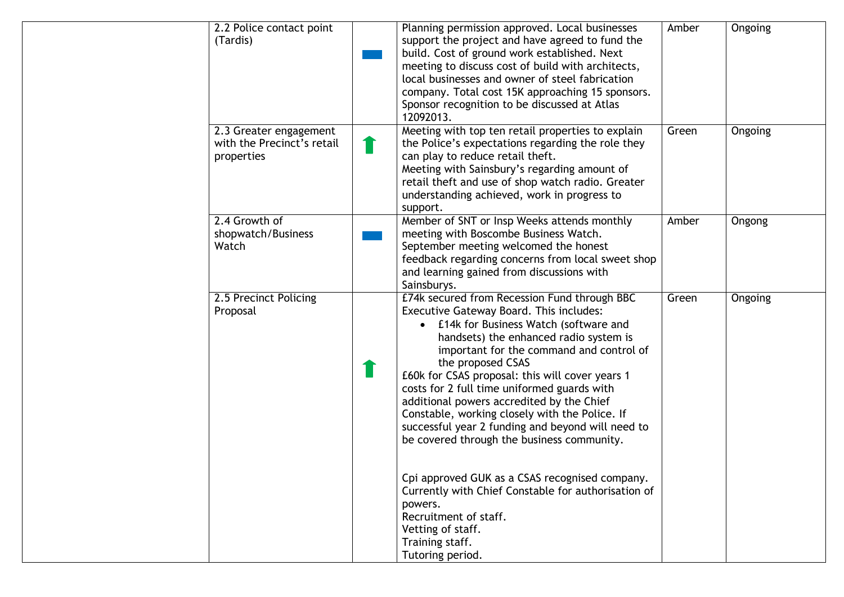| 2.2 Police contact point<br>(Tardis)                               | Planning permission approved. Local businesses<br>support the project and have agreed to fund the<br>build. Cost of ground work established. Next<br>meeting to discuss cost of build with architects,<br>local businesses and owner of steel fabrication<br>company. Total cost 15K approaching 15 sponsors.<br>Sponsor recognition to be discussed at Atlas<br>12092013.                                                                                                                                                                                                                                                                                                                                                                                            | Amber | Ongoing |
|--------------------------------------------------------------------|-----------------------------------------------------------------------------------------------------------------------------------------------------------------------------------------------------------------------------------------------------------------------------------------------------------------------------------------------------------------------------------------------------------------------------------------------------------------------------------------------------------------------------------------------------------------------------------------------------------------------------------------------------------------------------------------------------------------------------------------------------------------------|-------|---------|
| 2.3 Greater engagement<br>with the Precinct's retail<br>properties | Meeting with top ten retail properties to explain<br>the Police's expectations regarding the role they<br>can play to reduce retail theft.<br>Meeting with Sainsbury's regarding amount of<br>retail theft and use of shop watch radio. Greater<br>understanding achieved, work in progress to<br>support.                                                                                                                                                                                                                                                                                                                                                                                                                                                            | Green | Ongoing |
| 2.4 Growth of<br>shopwatch/Business<br>Watch                       | Member of SNT or Insp Weeks attends monthly<br>meeting with Boscombe Business Watch.<br>September meeting welcomed the honest<br>feedback regarding concerns from local sweet shop<br>and learning gained from discussions with<br>Sainsburys.                                                                                                                                                                                                                                                                                                                                                                                                                                                                                                                        | Amber | Ongong  |
| 2.5 Precinct Policing<br>Proposal                                  | £74k secured from Recession Fund through BBC<br>Executive Gateway Board. This includes:<br>£14k for Business Watch (software and<br>$\bullet$<br>handsets) the enhanced radio system is<br>important for the command and control of<br>the proposed CSAS<br>£60k for CSAS proposal: this will cover years 1<br>costs for 2 full time uniformed guards with<br>additional powers accredited by the Chief<br>Constable, working closely with the Police. If<br>successful year 2 funding and beyond will need to<br>be covered through the business community.<br>Cpi approved GUK as a CSAS recognised company.<br>Currently with Chief Constable for authorisation of<br>powers.<br>Recruitment of staff.<br>Vetting of staff.<br>Training staff.<br>Tutoring period. | Green | Ongoing |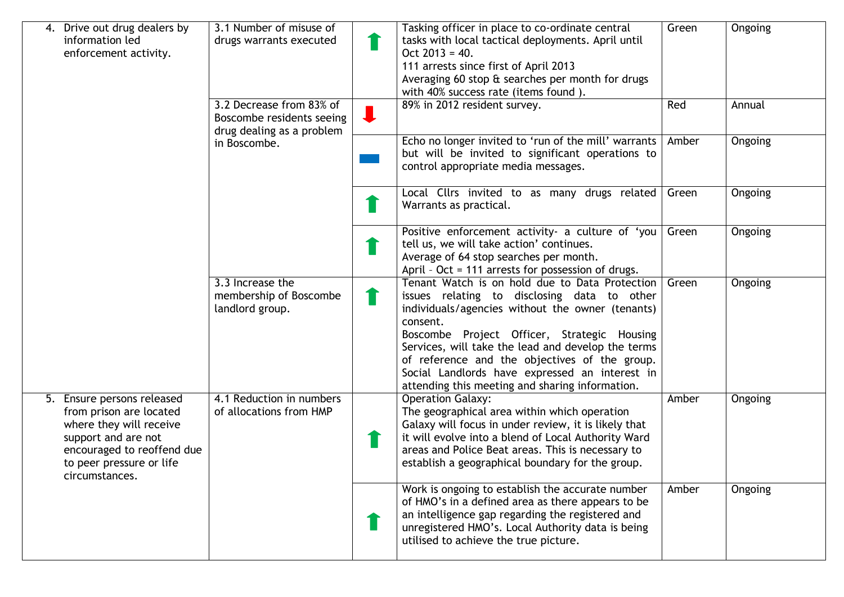| Drive out drug dealers by<br>information led<br>enforcement activity.                                                                                                               | 3.1 Number of misuse of<br>drugs warrants executed            |                | Tasking officer in place to co-ordinate central<br>tasks with local tactical deployments. April until<br>$Oct 2013 = 40.$<br>111 arrests since first of April 2013<br>Averaging 60 stop & searches per month for drugs<br>with 40% success rate (items found).                                                                                                                                                           | Green | Ongoing |
|-------------------------------------------------------------------------------------------------------------------------------------------------------------------------------------|---------------------------------------------------------------|----------------|--------------------------------------------------------------------------------------------------------------------------------------------------------------------------------------------------------------------------------------------------------------------------------------------------------------------------------------------------------------------------------------------------------------------------|-------|---------|
|                                                                                                                                                                                     | 3.2 Decrease from 83% of<br>Boscombe residents seeing         | $\blacksquare$ | 89% in 2012 resident survey.                                                                                                                                                                                                                                                                                                                                                                                             | Red   | Annual  |
|                                                                                                                                                                                     | drug dealing as a problem<br>in Boscombe.                     |                | Echo no longer invited to 'run of the mill' warrants<br>but will be invited to significant operations to<br>control appropriate media messages.                                                                                                                                                                                                                                                                          | Amber | Ongoing |
|                                                                                                                                                                                     |                                                               |                | Local Cllrs invited to as many drugs related<br>Warrants as practical.                                                                                                                                                                                                                                                                                                                                                   | Green | Ongoing |
|                                                                                                                                                                                     |                                                               |                | Positive enforcement activity- a culture of 'you<br>tell us, we will take action' continues.<br>Average of 64 stop searches per month.<br>April - Oct = 111 arrests for possession of drugs.                                                                                                                                                                                                                             | Green | Ongoing |
|                                                                                                                                                                                     | 3.3 Increase the<br>membership of Boscombe<br>landlord group. | T              | Tenant Watch is on hold due to Data Protection<br>issues relating to disclosing data to other<br>individuals/agencies without the owner (tenants)<br>consent.<br>Boscombe Project Officer, Strategic Housing<br>Services, will take the lead and develop the terms<br>of reference and the objectives of the group.<br>Social Landlords have expressed an interest in<br>attending this meeting and sharing information. | Green | Ongoing |
| 5. Ensure persons released<br>from prison are located<br>where they will receive<br>support and are not<br>encouraged to reoffend due<br>to peer pressure or life<br>circumstances. | 4.1 Reduction in numbers<br>of allocations from HMP           |                | <b>Operation Galaxy:</b><br>The geographical area within which operation<br>Galaxy will focus in under review, it is likely that<br>it will evolve into a blend of Local Authority Ward<br>areas and Police Beat areas. This is necessary to<br>establish a geographical boundary for the group.                                                                                                                         | Amber | Ongoing |
|                                                                                                                                                                                     |                                                               |                | Work is ongoing to establish the accurate number<br>of HMO's in a defined area as there appears to be<br>an intelligence gap regarding the registered and<br>unregistered HMO's. Local Authority data is being<br>utilised to achieve the true picture.                                                                                                                                                                  | Amber | Ongoing |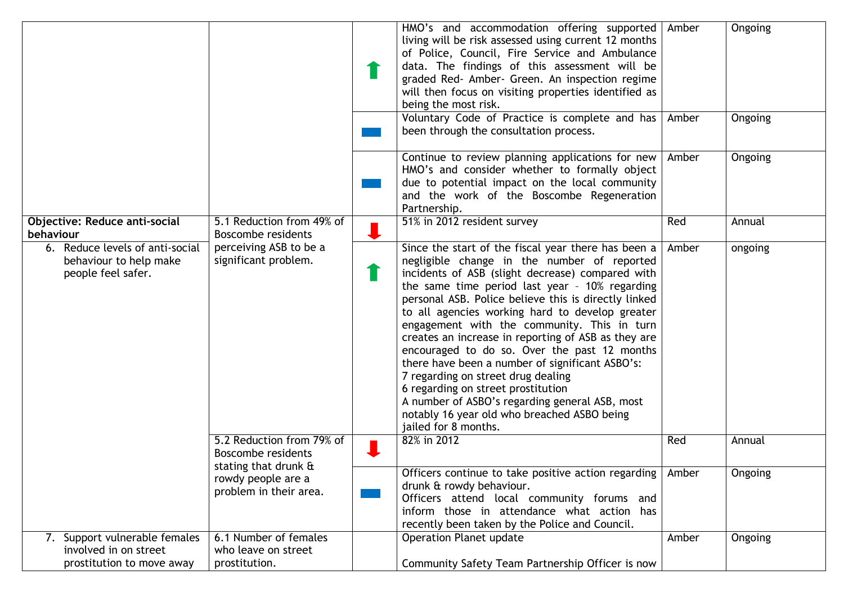|                                                                                     |                                                                         | HMO's and accommodation offering supported<br>living will be risk assessed using current 12 months<br>of Police, Council, Fire Service and Ambulance<br>data. The findings of this assessment will be<br>graded Red- Amber- Green. An inspection regime<br>will then focus on visiting properties identified as<br>being the most risk.                                                                                                                                                                                                                                                                                                                                                                                           | Amber | Ongoing |
|-------------------------------------------------------------------------------------|-------------------------------------------------------------------------|-----------------------------------------------------------------------------------------------------------------------------------------------------------------------------------------------------------------------------------------------------------------------------------------------------------------------------------------------------------------------------------------------------------------------------------------------------------------------------------------------------------------------------------------------------------------------------------------------------------------------------------------------------------------------------------------------------------------------------------|-------|---------|
|                                                                                     |                                                                         | Voluntary Code of Practice is complete and has<br>been through the consultation process.                                                                                                                                                                                                                                                                                                                                                                                                                                                                                                                                                                                                                                          | Amber | Ongoing |
|                                                                                     |                                                                         | Continue to review planning applications for new<br>HMO's and consider whether to formally object<br>due to potential impact on the local community<br>and the work of the Boscombe Regeneration<br>Partnership.                                                                                                                                                                                                                                                                                                                                                                                                                                                                                                                  | Amber | Ongoing |
| <b>Objective: Reduce anti-social</b><br>behaviour                                   | 5.1 Reduction from 49% of<br><b>Boscombe residents</b>                  | 51% in 2012 resident survey                                                                                                                                                                                                                                                                                                                                                                                                                                                                                                                                                                                                                                                                                                       | Red   | Annual  |
| 6. Reduce levels of anti-social<br>behaviour to help make<br>people feel safer.     | perceiving ASB to be a<br>significant problem.                          | Since the start of the fiscal year there has been a<br>negligible change in the number of reported<br>incidents of ASB (slight decrease) compared with<br>the same time period last year - 10% regarding<br>personal ASB. Police believe this is directly linked<br>to all agencies working hard to develop greater<br>engagement with the community. This in turn<br>creates an increase in reporting of ASB as they are<br>encouraged to do so. Over the past 12 months<br>there have been a number of significant ASBO's:<br>7 regarding on street drug dealing<br>6 regarding on street prostitution<br>A number of ASBO's regarding general ASB, most<br>notably 16 year old who breached ASBO being<br>jailed for 8 months. | Amber | ongoing |
|                                                                                     | 5.2 Reduction from 79% of<br>Boscombe residents<br>stating that drunk & | 82% in 2012                                                                                                                                                                                                                                                                                                                                                                                                                                                                                                                                                                                                                                                                                                                       | Red   | Annual  |
|                                                                                     | rowdy people are a<br>problem in their area.                            | Officers continue to take positive action regarding   Amber<br>drunk & rowdy behaviour.<br>Officers attend local community forums and<br>inform those in attendance what action has<br>recently been taken by the Police and Council.                                                                                                                                                                                                                                                                                                                                                                                                                                                                                             |       | Ongoing |
| 7. Support vulnerable females<br>involved in on street<br>prostitution to move away | 6.1 Number of females<br>who leave on street<br>prostitution.           | <b>Operation Planet update</b><br>Community Safety Team Partnership Officer is now                                                                                                                                                                                                                                                                                                                                                                                                                                                                                                                                                                                                                                                | Amber | Ongoing |